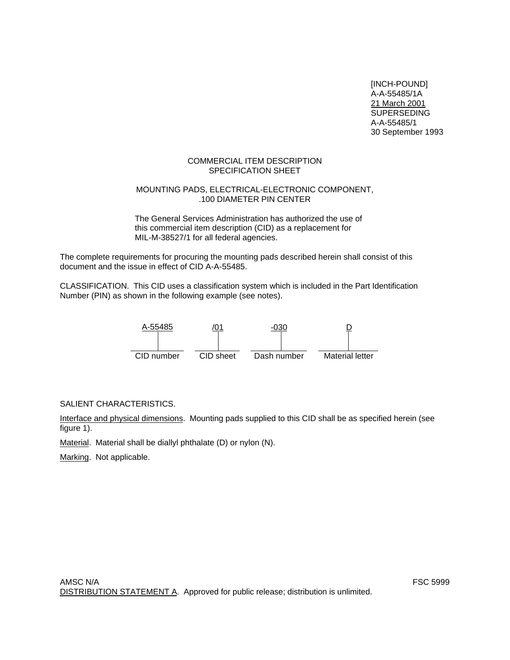[INCH-POUND] A-A-55485/1A 21 March 2001 SUPERSEDING A-A-55485/1 30 September 1993

### COMMERCIAL ITEM DESCRIPTION SPECIFICATION SHEET

# MOUNTING PADS, ELECTRICAL-ELECTRONIC COMPONENT, .100 DIAMETER PIN CENTER

The General Services Administration has authorized the use of this commercial item description (CID) as a replacement for MIL-M-38527/1 for all federal agencies.

The complete requirements for procuring the mounting pads described herein shall consist of this document and the issue in effect of CID A-A-55485.

CLASSIFICATION. This CID uses a classification system which is included in the Part Identification Number (PIN) as shown in the following example (see notes).



# SALIENT CHARACTERISTICS.

Interface and physical dimensions. Mounting pads supplied to this CID shall be as specified herein (see figure 1).

Material. Material shall be diallyl phthalate (D) or nylon (N).

Marking. Not applicable.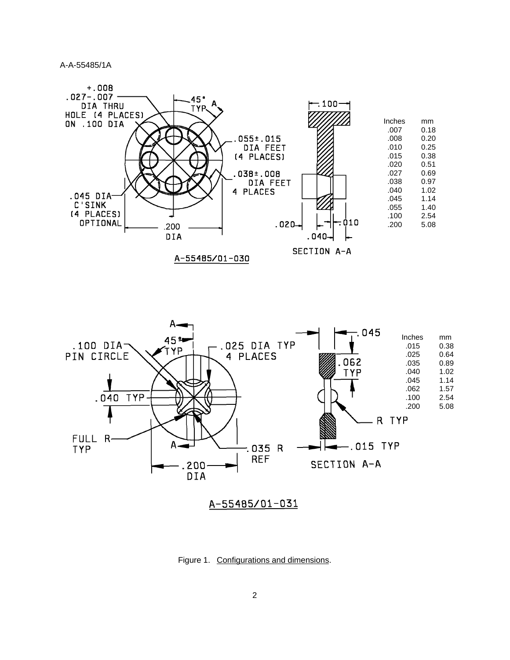A-A-55485/1A





Figure 1. Configurations and dimensions.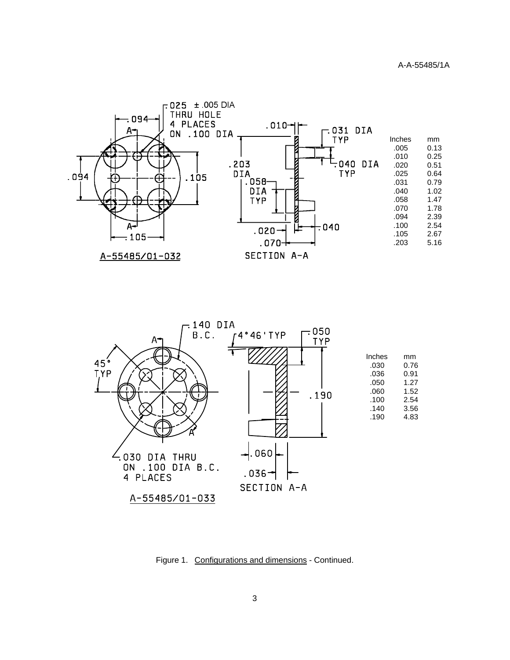



Figure 1. Configurations and dimensions - Continued.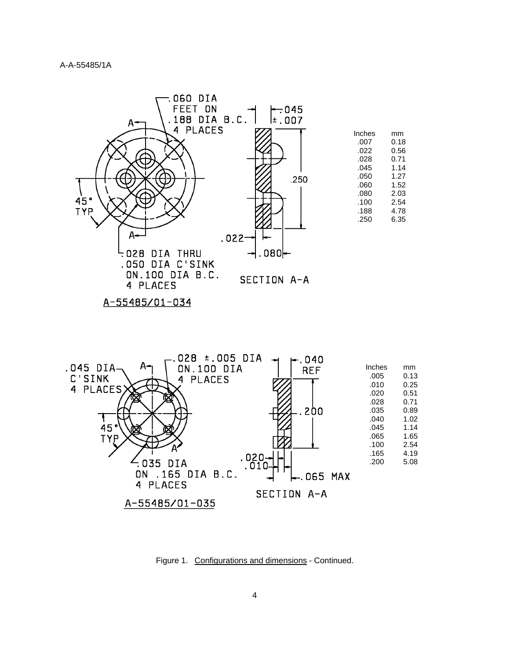



Figure 1. Configurations and dimensions - Continued.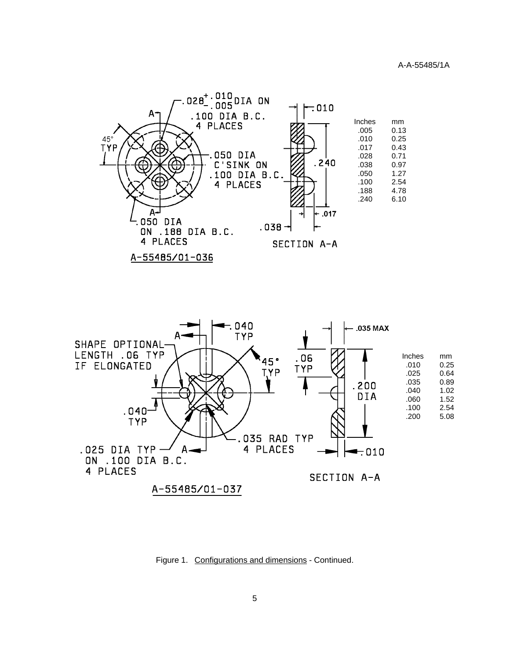



Figure 1. Configurations and dimensions - Continued.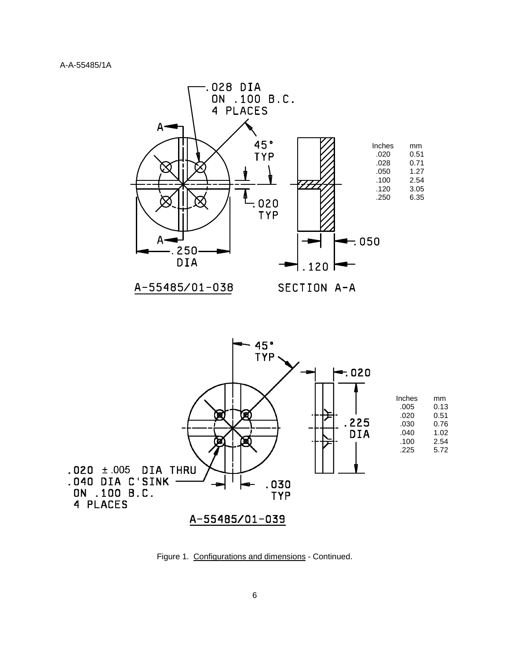



Figure 1. Configurations and dimensions - Continued.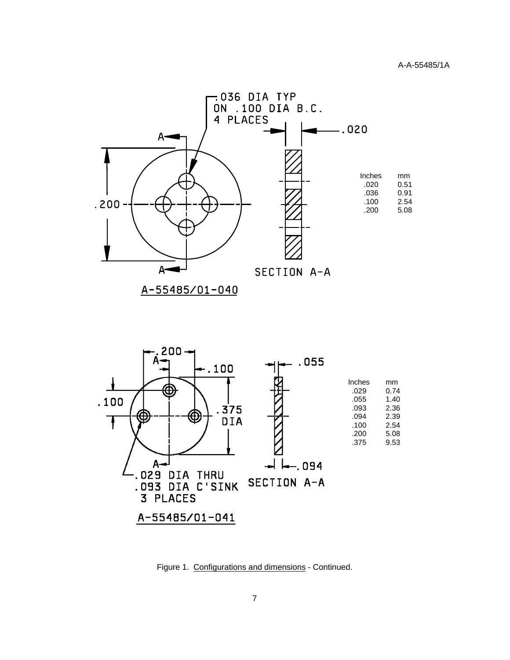



Figure 1. Configurations and dimensions - Continued.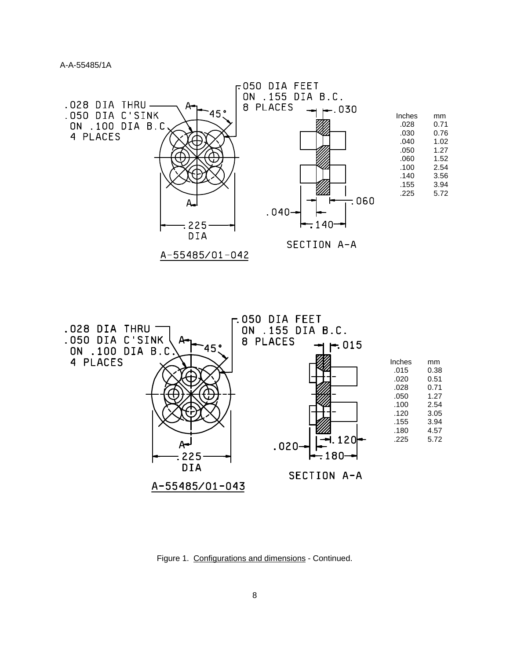

Figure 1. Configurations and dimensions - Continued.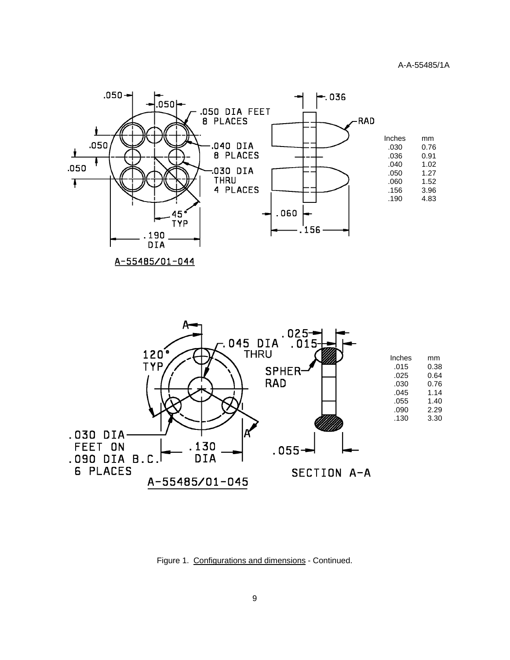

A-55485/01-044



Figure 1. Configurations and dimensions - Continued.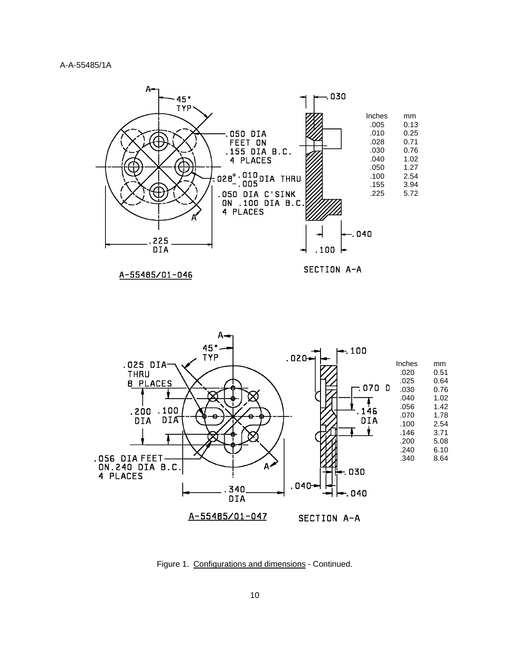

A-55485/01-046

SECTION A-A



Figure 1. Configurations and dimensions - Continued.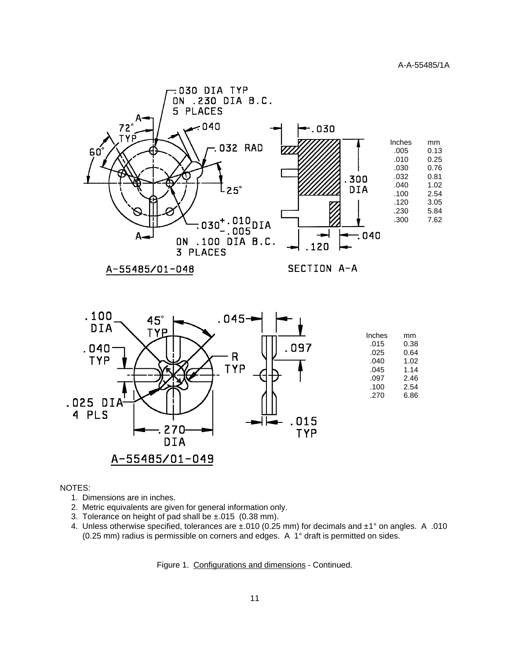

A-55485/01-048

SECTION A-A



#### NOTES:

- 1. Dimensions are in inches.
- 2. Metric equivalents are given for general information only.
- 3. Tolerance on height of pad shall be ±.015 (0.38 mm).
- 4. Unless otherwise specified, tolerances are ±.010 (0.25 mm) for decimals and ±1° on angles. A .010 (0.25 mm) radius is permissible on corners and edges. A 1° draft is permitted on sides.

Figure 1. Configurations and dimensions - Continued.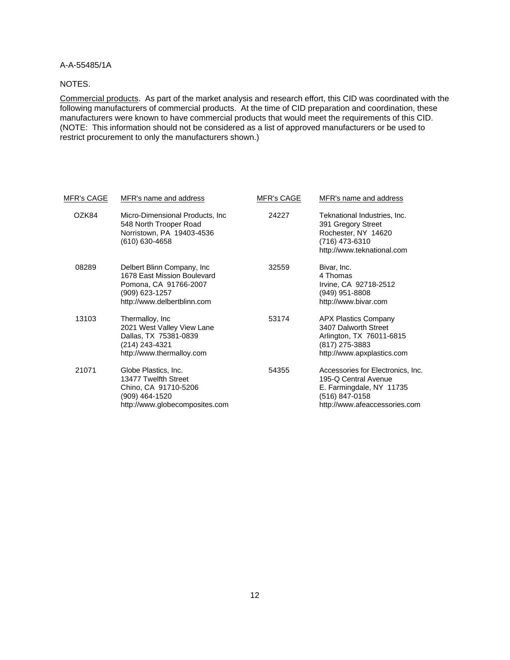A-A-55485/1A

### NOTES.

Commercial products. As part of the market analysis and research effort, this CID was coordinated with the following manufacturers of commercial products. At the time of CID preparation and coordination, these manufacturers were known to have commercial products that would meet the requirements of this CID. (NOTE: This information should not be considered as a list of approved manufacturers or be used to restrict procurement to only the manufacturers shown.)

| <u>MFR's CAGE</u> | MFR's name and address                                                                                                               | <b>MFR's CAGE</b> | MFR's name and address                                                                                                                   |
|-------------------|--------------------------------------------------------------------------------------------------------------------------------------|-------------------|------------------------------------------------------------------------------------------------------------------------------------------|
| OZK84             | Micro-Dimensional Products, Inc.<br>548 North Trooper Road<br>Norristown, PA 19403-4536<br>(610) 630-4658                            | 24227             | Teknational Industries, Inc.<br>391 Gregory Street<br>Rochester, NY 14620<br>(716) 473-6310<br>http://www.teknational.com                |
| 08289             | Delbert Blinn Company, Inc.<br>1678 East Mission Boulevard<br>Pomona, CA 91766-2007<br>(909) 623-1257<br>http://www.delbertblinn.com | 32559             | Bivar, Inc.<br>4 Thomas<br>Irvine, CA 92718-2512<br>(949) 951-8808<br>http://www.bivar.com                                               |
| 13103             | Thermalloy, Inc<br>2021 West Valley View Lane<br>Dallas, TX 75381-0839<br>(214) 243-4321<br>http://www.thermalloy.com                | 53174             | <b>APX Plastics Company</b><br>3407 Dalworth Street<br>Arlington, TX 76011-6815<br>(817) 275-3883<br>http://www.apxplastics.com          |
| 21071             | Globe Plastics, Inc.<br>13477 Twelfth Street<br>Chino, CA 91710-5206<br>(909) 464-1520<br>http://www.globecomposites.com             | 54355             | Accessories for Electronics, Inc.<br>195-Q Central Avenue<br>E. Farmingdale, NY 11735<br>(516) 847-0158<br>http://www.afeaccessories.com |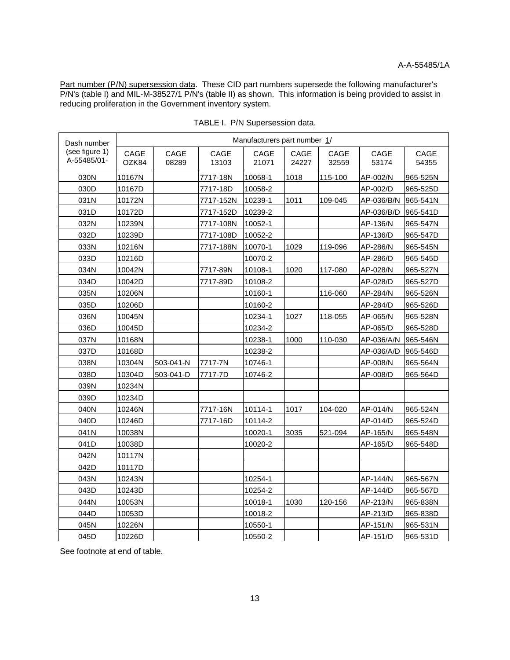٦

Part number (P/N) supersession data. These CID part numbers supersede the following manufacturer's P/N's (table I) and MIL-M-38527/1 P/N's (table II) as shown. This information is being provided to assist in reducing proliferation in the Government inventory system.

| Dash number                   |               |               |               | Manufacturers part number 1/ |               |               |               |               |
|-------------------------------|---------------|---------------|---------------|------------------------------|---------------|---------------|---------------|---------------|
| (see figure 1)<br>A-55485/01- | CAGE<br>OZK84 | CAGE<br>08289 | CAGE<br>13103 | CAGE<br>21071                | CAGE<br>24227 | CAGE<br>32559 | CAGE<br>53174 | CAGE<br>54355 |
| 030N                          | 10167N        |               | 7717-18N      | 10058-1                      | 1018          | 115-100       | AP-002/N      | 965-525N      |
| 030D                          | 10167D        |               | 7717-18D      | 10058-2                      |               |               | AP-002/D      | 965-525D      |
| 031N                          | 10172N        |               | 7717-152N     | 10239-1                      | 1011          | 109-045       | AP-036/B/N    | 965-541N      |
| 031D                          | 10172D        |               | 7717-152D     | 10239-2                      |               |               | AP-036/B/D    | 965-541D      |
| 032N                          | 10239N        |               | 7717-108N     | 10052-1                      |               |               | AP-136/N      | 965-547N      |
| 032D                          | 10239D        |               | 7717-108D     | 10052-2                      |               |               | AP-136/D      | 965-547D      |
| 033N                          | 10216N        |               | 7717-188N     | 10070-1                      | 1029          | 119-096       | AP-286/N      | 965-545N      |
| 033D                          | 10216D        |               |               | 10070-2                      |               |               | AP-286/D      | 965-545D      |
| 034N                          | 10042N        |               | 7717-89N      | 10108-1                      | 1020          | 117-080       | AP-028/N      | 965-527N      |
| 034D                          | 10042D        |               | 7717-89D      | 10108-2                      |               |               | AP-028/D      | 965-527D      |
| 035N                          | 10206N        |               |               | 10160-1                      |               | 116-060       | AP-284/N      | 965-526N      |
| 035D                          | 10206D        |               |               | 10160-2                      |               |               | AP-284/D      | 965-526D      |
| 036N                          | 10045N        |               |               | 10234-1                      | 1027          | 118-055       | AP-065/N      | 965-528N      |
| 036D                          | 10045D        |               |               | 10234-2                      |               |               | AP-065/D      | 965-528D      |
| 037N                          | 10168N        |               |               | 10238-1                      | 1000          | 110-030       | AP-036/A/N    | 965-546N      |
| 037D                          | 10168D        |               |               | 10238-2                      |               |               | AP-036/A/D    | 965-546D      |
| 038N                          | 10304N        | 503-041-N     | 7717-7N       | 10746-1                      |               |               | AP-008/N      | 965-564N      |
| 038D                          | 10304D        | 503-041-D     | 7717-7D       | 10746-2                      |               |               | AP-008/D      | 965-564D      |
| 039N                          | 10234N        |               |               |                              |               |               |               |               |
| 039D                          | 10234D        |               |               |                              |               |               |               |               |
| 040N                          | 10246N        |               | 7717-16N      | 10114-1                      | 1017          | 104-020       | AP-014/N      | 965-524N      |
| 040D                          | 10246D        |               | 7717-16D      | 10114-2                      |               |               | AP-014/D      | 965-524D      |
| 041N                          | 10038N        |               |               | 10020-1                      | 3035          | 521-094       | AP-165/N      | 965-548N      |
| 041D                          | 10038D        |               |               | 10020-2                      |               |               | AP-165/D      | 965-548D      |
| 042N                          | 10117N        |               |               |                              |               |               |               |               |
| 042D                          | 10117D        |               |               |                              |               |               |               |               |
| 043N                          | 10243N        |               |               | 10254-1                      |               |               | AP-144/N      | 965-567N      |
| 043D                          | 10243D        |               |               | 10254-2                      |               |               | AP-144/D      | 965-567D      |
| 044N                          | 10053N        |               |               | 10018-1                      | 1030          | 120-156       | AP-213/N      | 965-838N      |
| 044D                          | 10053D        |               |               | 10018-2                      |               |               | AP-213/D      | 965-838D      |
| 045N                          | 10226N        |               |               | 10550-1                      |               |               | AP-151/N      | 965-531N      |
| 045D                          | 10226D        |               |               | 10550-2                      |               |               | AP-151/D      | 965-531D      |

TABLE I. P/N Supersession data.

See footnote at end of table.

Ī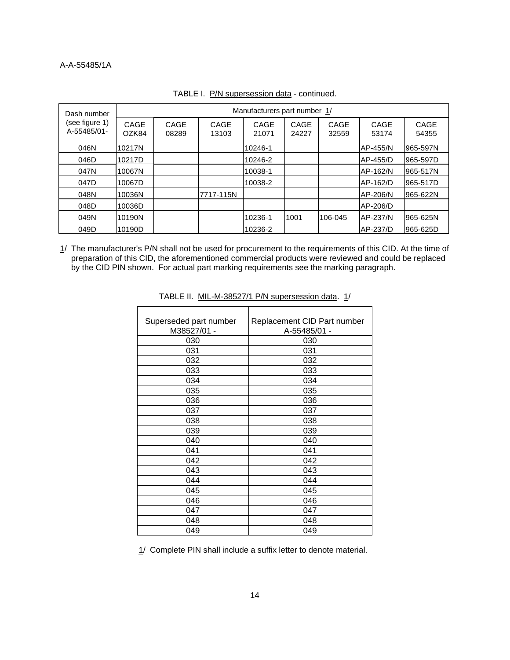## A-A-55485/1A

| Dash number<br>(see figure 1)<br>A-55485/01- | Manufacturers part number 1/ |               |               |               |               |               |                 |               |
|----------------------------------------------|------------------------------|---------------|---------------|---------------|---------------|---------------|-----------------|---------------|
|                                              | CAGE<br>OZK84                | CAGE<br>08289 | CAGE<br>13103 | CAGE<br>21071 | CAGE<br>24227 | CAGE<br>32559 | CAGE<br>53174   | CAGE<br>54355 |
| 046N                                         | 10217N                       |               |               | 10246-1       |               |               | AP-455/N        | 965-597N      |
| 046D                                         | 10217D                       |               |               | 10246-2       |               |               | AP-455/D        | 965-597D      |
| 047N                                         | 10067N                       |               |               | 10038-1       |               |               | <b>AP-162/N</b> | 965-517N      |
| 047D                                         | 10067D                       |               |               | 10038-2       |               |               | <b>AP-162/D</b> | 965-517D      |
| 048N                                         | 10036N                       |               | 7717-115N     |               |               |               | AP-206/N        | 965-622N      |
| 048D                                         | 10036D                       |               |               |               |               |               | AP-206/D        |               |
| 049N                                         | 10190N                       |               |               | 10236-1       | 1001          | 106-045       | <b>AP-237/N</b> | 965-625N      |
| 049D                                         | 10190D                       |               |               | 10236-2       |               |               | AP-237/D        | 965-625D      |

# TABLE I. P/N supersession data - continued.

1/ The manufacturer's P/N shall not be used for procurement to the requirements of this CID. At the time of preparation of this CID, the aforementioned commercial products were reviewed and could be replaced by the CID PIN shown. For actual part marking requirements see the marking paragraph.

| Superseded part number | Replacement CID Part number |
|------------------------|-----------------------------|
| M38527/01 -            | A-55485/01 -                |
| 030                    | 030                         |
| 031                    | 031                         |
| 032                    | 032                         |
| 033                    | 033                         |
| 034                    | 034                         |
| 035                    | 035                         |
| 036                    | 036                         |
| 037                    | 037                         |
| 038                    | 038                         |
| 039                    | 039                         |
| 040                    | 040                         |
| 041                    | 041                         |
| 042                    | 042                         |
| 043                    | 043                         |
| 044                    | 044                         |
| 045                    | 045                         |
| 046                    | 046                         |
| 047                    | 047                         |
| 048                    | 048                         |
| 049                    | 049                         |

|  |  | TABLE II. MIL-M-38527/1 P/N supersession data. 1/ |  |
|--|--|---------------------------------------------------|--|
|--|--|---------------------------------------------------|--|

1/ Complete PIN shall include a suffix letter to denote material.